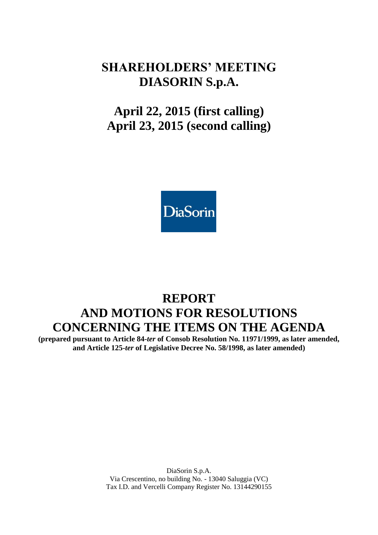# **SHAREHOLDERS' MEETING DIASORIN S.p.A.**

# **April 22, 2015 (first calling) April 23, 2015 (second calling)**



# **REPORT AND MOTIONS FOR RESOLUTIONS CONCERNING THE ITEMS ON THE AGENDA**

**(prepared pursuant to Article 84-***ter* **of Consob Resolution No. 11971/1999, as later amended, and Article 125-***ter* **of Legislative Decree No. 58/1998, as later amended)**

> DiaSorin S.p.A. Via Crescentino, no building No. - 13040 Saluggia (VC) Tax I.D. and Vercelli Company Register No. 13144290155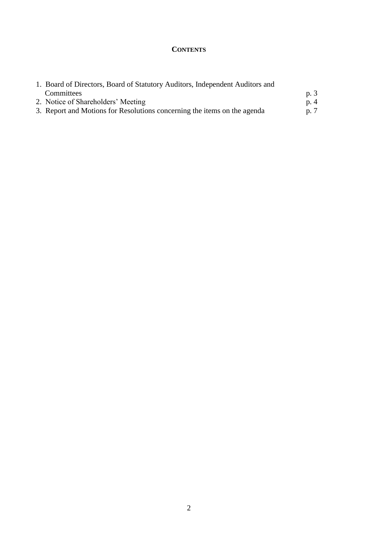### **CONTENTS**

| 1. Board of Directors, Board of Statutory Auditors, Independent Auditors and |      |  |
|------------------------------------------------------------------------------|------|--|
| <b>Committees</b>                                                            | p. 3 |  |
| 2. Notice of Shareholders' Meeting                                           | p.4  |  |
| 3. Report and Motions for Resolutions concerning the items on the agenda     | p. 7 |  |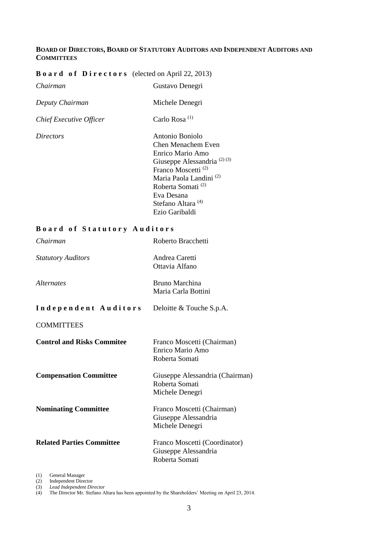### **BOARD OF DIRECTORS, BOARD OF STATUTORY AUDITORS AND INDEPENDENT AUDITORS AND COMMITTEES**

Ezio Garibaldi

## **B o a r d o f D i r e c t o r s** (elected on April 22, 2013)

| <b>Board of Directors</b> (elected on April 22, 2013) |                                                                                                                                                                                                                            |
|-------------------------------------------------------|----------------------------------------------------------------------------------------------------------------------------------------------------------------------------------------------------------------------------|
| Chairman                                              | Gustavo Denegri                                                                                                                                                                                                            |
| Deputy Chairman                                       | Michele Denegri                                                                                                                                                                                                            |
| Chief Executive Officer                               | Carlo Rosa <sup>(1)</sup>                                                                                                                                                                                                  |
| <i>Directors</i>                                      | Antonio Boniolo<br>Chen Menachem Even<br>Enrico Mario Amo<br>Giuseppe Alessandria <sup>(2)(3)</sup><br>Franco Moscetti <sup>(2)</sup><br>Maria Paola Landini <sup>(2)</sup><br>Roberta Somati <sup>(2)</sup><br>Eva Desana |
|                                                       | Stefano Altara <sup>(4)</sup>                                                                                                                                                                                              |

### **B o a r d o f S t a t u t o r y A u d i t o r s**

| Chairman                          | Roberto Bracchetti                                                      |
|-----------------------------------|-------------------------------------------------------------------------|
| <b>Statutory Auditors</b>         | Andrea Caretti<br>Ottavia Alfano                                        |
| <i>Alternates</i>                 | Bruno Marchina<br>Maria Carla Bottini                                   |
| Independent Auditors              | Deloitte & Touche S.p.A.                                                |
| <b>COMMITTEES</b>                 |                                                                         |
| <b>Control and Risks Commitee</b> | Franco Moscetti (Chairman)<br>Enrico Mario Amo<br>Roberta Somati        |
| <b>Compensation Committee</b>     | Giuseppe Alessandria (Chairman)<br>Roberta Somati<br>Michele Denegri    |
| <b>Nominating Committee</b>       | Franco Moscetti (Chairman)<br>Giuseppe Alessandria<br>Michele Denegri   |
| <b>Related Parties Committee</b>  | Franco Moscetti (Coordinator)<br>Giuseppe Alessandria<br>Roberta Somati |

(1) General Manager

(2) Independent Director (3) *Lead Independent Director*

(4) The Director Mr. Stefano Altara has been appointed by the Shareholders' Meeting on April 23, 2014.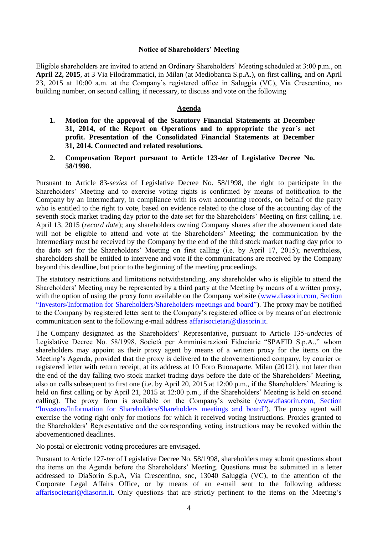#### **Notice of Shareholders' Meeting**

Eligible shareholders are invited to attend an Ordinary Shareholders' Meeting scheduled at 3:00 p.m., on **April 22, 2015**, at 3 Via Filodrammatici, in Milan (at Mediobanca S.p.A.), on first calling, and on April 23, 2015 at 10:00 a.m. at the Company's registered office in Saluggia (VC), Via Crescentino, no building number, on second calling, if necessary, to discuss and vote on the following

#### **Agenda**

- **1. Motion for the approval of the Statutory Financial Statements at December 31, 2014, of the Report on Operations and to appropriate the year's net profit. Presentation of the Consolidated Financial Statements at December 31, 2014. Connected and related resolutions.**
- **2. Compensation Report pursuant to Article 123-***ter* **of Legislative Decree No. 58/1998.**

Pursuant to Article 83-*sexies* of Legislative Decree No. 58/1998, the right to participate in the Shareholders' Meeting and to exercise voting rights is confirmed by means of notification to the Company by an Intermediary, in compliance with its own accounting records, on behalf of the party who is entitled to the right to vote, based on evidence related to the close of the accounting day of the seventh stock market trading day prior to the date set for the Shareholders' Meeting on first calling, i.e. April 13, 2015 (*record date*); any shareholders owning Company shares after the abovementioned date will not be eligible to attend and vote at the Shareholders' Meeting; the communication by the Intermediary must be received by the Company by the end of the third stock market trading day prior to the date set for the Shareholders' Meeting on first calling (i.e. by April 17, 2015); nevertheless, shareholders shall be entitled to intervene and vote if the communications are received by the Company beyond this deadline, but prior to the beginning of the meeting proceedings.

The statutory restrictions and limitations notwithstanding, any shareholder who is eligible to attend the Shareholders' Meeting may be represented by a third party at the Meeting by means of a written proxy, with the option of using the proxy form available on the Company website (www.diasorin.com, Section "Investors[/Information for Shareholders/](http://www.diasorin.com/en/investors/total-shareholders-basis)Shareholders meetings and board"). The proxy may be notified to the Company by registered letter sent to the Company's registered office or by means of an electronic communication sent to the following e-mail address [affarisocietari@diasorin.it.](mailto:affarisocietari@diasorin.it)

The Company designated as the Shareholders' Representative, pursuant to Article 135-*undecies* of Legislative Decree No. 58/1998, Società per Amministrazioni Fiduciarie "SPAFID S.p.A.," whom shareholders may appoint as their proxy agent by means of a written proxy for the items on the Meeting's Agenda, provided that the proxy is delivered to the abovementioned company, by courier or registered letter with return receipt, at its address at 10 Foro Buonaparte, Milan (20121), not later than the end of the day falling two stock market trading days before the date of the Shareholders' Meeting, also on calls subsequent to first one (i.e. by April 20, 2015 at 12:00 p.m., if the Shareholders' Meeting is held on first calling or by April 21, 2015 at 12:00 p.m., if the Shareholders' Meeting is held on second calling). The proxy form is available on the Company's website (www.diasorin.com, Section "Investors[/Information for Shareholders/](http://www.diasorin.com/en/investors/total-shareholders-basis)Shareholders meetings and board"). The proxy agent will exercise the voting right only for motions for which it received voting instructions. Proxies granted to the Shareholders' Representative and the corresponding voting instructions may be revoked within the abovementioned deadlines.

No postal or electronic voting procedures are envisaged.

Pursuant to Article 127*-ter* of Legislative Decree No. 58/1998, shareholders may submit questions about the items on the Agenda before the Shareholders' Meeting. Questions must be submitted in a letter addressed to DiaSorin S.p.A, Via Crescentino, snc, 13040 Saluggia (VC), to the attention of the Corporate Legal Affairs Office, or by means of an e-mail sent to the following address: [affarisocietari@diasorin.it.](mailto:affarisocietari@diasorin.it) Only questions that are strictly pertinent to the items on the Meeting's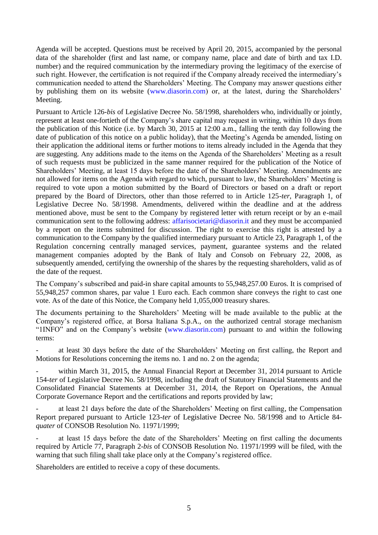Agenda will be accepted. Questions must be received by April 20, 2015, accompanied by the personal data of the shareholder (first and last name, or company name, place and date of birth and tax I.D. number) and the required communication by the intermediary proving the legitimacy of the exercise of such right. However, the certification is not required if the Company already received the intermediary's communication needed to attend the Shareholders' Meeting. The Company may answer questions either by publishing them on its website [\(www.diasorin.com\)](http://www.diasorin.com/) or, at the latest, during the Shareholders' Meeting.

Pursuant to Article 126-*bis* of Legislative Decree No. 58/1998, shareholders who, individually or jointly, represent at least one-fortieth of the Company's share capital may request in writing, within 10 days from the publication of this Notice (i.e. by March 30, 2015 at 12:00 a.m., falling the tenth day following the date of publication of this notice on a public holiday), that the Meeting's Agenda be amended, listing on their application the additional items or further motions to items already included in the Agenda that they are suggesting. Any additions made to the items on the Agenda of the Shareholders' Meeting as a result of such requests must be publicized in the same manner required for the publication of the Notice of Shareholders' Meeting, at least 15 days before the date of the Shareholders' Meeting. Amendments are not allowed for items on the Agenda with regard to which, pursuant to law, the Shareholders' Meeting is required to vote upon a motion submitted by the Board of Directors or based on a draft or report prepared by the Board of Directors, other than those referred to in Article 125-*ter*, Paragraph 1, of Legislative Decree No. 58/1998. Amendments, delivered within the deadline and at the address mentioned above, must be sent to the Company by registered letter with return receipt or by an e-mail communication sent to the following address: [affarisocietari@diasorin.it](mailto:affarisocietari@diasorin.it) and they must be accompanied by a report on the items submitted for discussion. The right to exercise this right is attested by a communication to the Company by the qualified intermediary pursuant to Article 23, Paragraph 1, of the Regulation concerning centrally managed services, payment, guarantee systems and the related management companies adopted by the Bank of Italy and Consob on February 22, 2008, as subsequently amended, certifying the ownership of the shares by the requesting shareholders, valid as of the date of the request.

The Company's subscribed and paid-in share capital amounts to 55,948,257.00 Euros. It is comprised of 55,948,257 common shares, par value 1 Euro each. Each common share conveys the right to cast one vote. As of the date of this Notice, the Company held 1,055,000 treasury shares.

The documents pertaining to the Shareholders' Meeting will be made available to the public at the Company's registered office, at Borsa Italiana S.p.A., on the authorized central storage mechanism "1INFO" and on the Company's website [\(www.diasorin.com\)](http://www.diasorin.com/) pursuant to and within the following terms:

- at least 30 days before the date of the Shareholders' Meeting on first calling, the Report and Motions for Resolutions concerning the items no. 1 and no. 2 on the agenda;

within March 31, 2015, the Annual Financial Report at December 31, 2014 pursuant to Article 154-*ter* of Legislative Decree No. 58/1998, including the draft of Statutory Financial Statements and the Consolidated Financial Statements at December 31, 2014, the Report on Operations, the Annual Corporate Governance Report and the certifications and reports provided by law;

at least 21 days before the date of the Shareholders' Meeting on first calling, the Compensation Report prepared pursuant to Article 123-*ter* of Legislative Decree No. 58/1998 and to Article 84 *quater* of CONSOB Resolution No. 11971/1999;

at least 15 days before the date of the Shareholders' Meeting on first calling the documents required by Article 77, Paragraph 2-*bis* of CONSOB Resolution No. 11971/1999 will be filed, with the warning that such filing shall take place only at the Company's registered office.

Shareholders are entitled to receive a copy of these documents.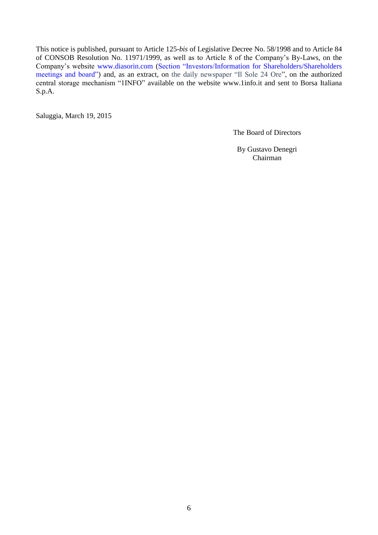This notice is published, pursuant to Article 125-*bis* of Legislative Decree No. 58/1998 and to Article 84 of CONSOB Resolution No. 11971/1999, as well as to Article 8 of the Company's By-Laws, on the Company's website [www.diasorin.com](http://www.diasorin.com/) (Section "Investors[/Information for Shareholders/](http://www.diasorin.com/en/investors/total-shareholders-basis)Shareholders meetings and board") and, as an extract, on the daily newspaper "Il Sole 24 Ore", on the authorized central storage mechanism "1INFO" available on the website www.1info.it and sent to Borsa Italiana S.p.A.

Saluggia, March 19, 2015

The Board of Directors

By Gustavo Denegri Chairman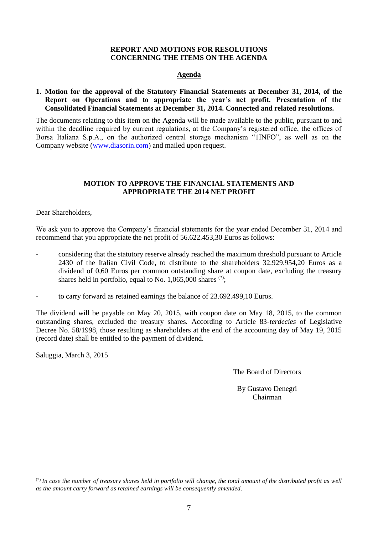#### **REPORT AND MOTIONS FOR RESOLUTIONS CONCERNING THE ITEMS ON THE AGENDA**

#### **Agenda**

#### **1. Motion for the approval of the Statutory Financial Statements at December 31, 2014, of the Report on Operations and to appropriate the year's net profit. Presentation of the Consolidated Financial Statements at December 31, 2014. Connected and related resolutions.**

The documents relating to this item on the Agenda will be made available to the public, pursuant to and within the deadline required by current regulations, at the Company's registered office, the offices of Borsa Italiana S.p.A., on the authorized central storage mechanism "1INFO", as well as on the Company website [\(www.diasorin.com\)](http://www.diasorin.com/) and mailed upon request.

#### **MOTION TO APPROVE THE FINANCIAL STATEMENTS AND APPROPRIATE THE 2014 NET PROFIT**

Dear Shareholders,

We ask you to approve the Company's financial statements for the year ended December 31, 2014 and recommend that you appropriate the net profit of 56.622.453,30 Euros as follows:

- considering that the statutory reserve already reached the maximum threshold pursuant to Article 2430 of the Italian Civil Code, to distribute to the shareholders 32.929.954,20 Euros as a dividend of 0,60 Euros per common outstanding share at coupon date, excluding the treasury shares held in portfolio, equal to No.  $1,065,000$  shares  $(*)$ ;
- to carry forward as retained earnings the balance of 23.692.499,10 Euros.

The dividend will be payable on May 20, 2015, with coupon date on May 18, 2015, to the common outstanding shares, excluded the treasury shares. According to Article 83-*terdecies* of Legislative Decree No. 58/1998, those resulting as shareholders at the end of the accounting day of May 19, 2015 (record date) shall be entitled to the payment of dividend.

Saluggia, March 3, 2015

The Board of Directors

By Gustavo Denegri Chairman

(\*) *In case the number of treasury shares held in portfolio will change, the total amount of the distributed profit as well as the amount carry forward as retained earnings will be consequently amended*.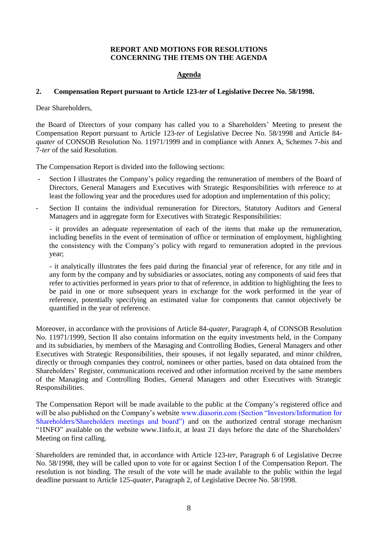#### **REPORT AND MOTIONS FOR RESOLUTIONS CONCERNING THE ITEMS ON THE AGENDA**

#### **Agenda**

#### **2. Compensation Report pursuant to Article 123-***ter* **of Legislative Decree No. 58/1998.**

Dear Shareholders,

the Board of Directors of your company has called you to a Shareholders' Meeting to present the Compensation Report pursuant to Article 123-*ter* of Legislative Decree No. 58/1998 and Article 84 *quater* of CONSOB Resolution No. 11971/1999 and in compliance with Annex A, Schemes 7-*bis* and 7-*ter* of the said Resolution.

The Compensation Report is divided into the following sections:

- Section I illustrates the Company's policy regarding the remuneration of members of the Board of Directors, General Managers and Executives with Strategic Responsibilities with reference to at least the following year and the procedures used for adoption and implementation of this policy;
- Section II contains the individual remuneration for Directors, Statutory Auditors and General Managers and in aggregate form for Executives with Strategic Responsibilities:

- it provides an adequate representation of each of the items that make up the remuneration, including benefits in the event of termination of office or termination of employment, highlighting the consistency with the Company's policy with regard to remuneration adopted in the previous year;

- it analytically illustrates the fees paid during the financial year of reference, for any title and in any form by the company and by subsidiaries or associates, noting any components of said fees that refer to activities performed in years prior to that of reference, in addition to highlighting the fees to be paid in one or more subsequent years in exchange for the work performed in the year of reference, potentially specifying an estimated value for components that cannot objectively be quantified in the year of reference.

Moreover, in accordance with the provisions of Article 84-*quater*, Paragraph 4, of CONSOB Resolution No. 11971/1999, Section II also contains information on the equity investments held, in the Company and its subsidiaries, by members of the Managing and Controlling Bodies, General Managers and other Executives with Strategic Responsibilities, their spouses, if not legally separated, and minor children, directly or through companies they control, nominees or other parties, based on data obtained from the Shareholders' Register, communications received and other information received by the same members of the Managing and Controlling Bodies, General Managers and other Executives with Strategic Responsibilities.

The Compensation Report will be made available to the public at the Company's registered office and will be also published on the Company's website www.diasorin.com (Section "Investors/Information for [Shareholders/](http://www.diasorin.com/en/investors/total-shareholders-basis)Shareholders meetings and board") and on the authorized central storage mechanism "1INFO" available on the website www.1info.it, at least 21 days before the date of the Shareholders' Meeting on first calling.

Shareholders are reminded that, in accordance with Article 123-*ter*, Paragraph 6 of Legislative Decree No. 58/1998, they will be called upon to vote for or against Section I of the Compensation Report. The resolution is not binding. The result of the vote will be made available to the public within the legal deadline pursuant to Article 125-*quater*, Paragraph 2, of Legislative Decree No. 58/1998.